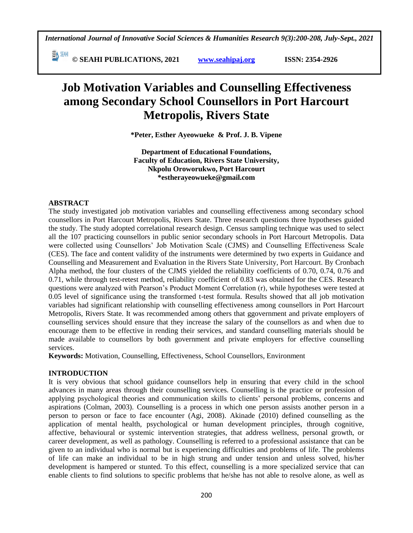*International Journal of Innovative Social Sciences & Humanities Research 9(3):200-208, July-Sept., 2021*

 **© SEAHI PUBLICATIONS, 2021 [www.seahipaj.org](http://www.seahipaj.org/) ISSN: 2354-2926** 

# **Job Motivation Variables and Counselling Effectiveness among Secondary School Counsellors in Port Harcourt Metropolis, Rivers State**

**\*Peter, Esther Ayeowueke & Prof. J. B. Vipene** 

**Department of Educational Foundations, Faculty of Education, Rivers State University, Nkpolu Oroworukwo, Port Harcourt \*estherayeowueke@gmail.com**

# **ABSTRACT**

The study investigated job motivation variables and counselling effectiveness among secondary school counsellors in Port Harcourt Metropolis, Rivers State. Three research questions three hypotheses guided the study. The study adopted correlational research design. Census sampling technique was used to select all the 107 practicing counsellors in public senior secondary schools in Port Harcourt Metropolis. Data were collected using Counsellors' Job Motivation Scale (CJMS) and Counselling Effectiveness Scale (CES). The face and content validity of the instruments were determined by two experts in Guidance and Counselling and Measurement and Evaluation in the Rivers State University, Port Harcourt. By Cronbach Alpha method, the four clusters of the CJMS yielded the reliability coefficients of 0.70, 0.74, 0.76 and 0.71, while through test-retest method, reliability coefficient of 0.83 was obtained for the CES. Research questions were analyzed with Pearson's Product Moment Correlation (r), while hypotheses were tested at 0.05 level of significance using the transformed t-test formula. Results showed that all job motivation variables had significant relationship with counselling effectiveness among counsellors in Port Harcourt Metropolis, Rivers State. It was recommended among others that ggovernment and private employers of counselling services should ensure that they increase the salary of the counsellors as and when due to encourage them to be effective in rending their services, and standard counselling materials should be made available to counsellors by both government and private employers for effective counselling services.

**Keywords:** Motivation, Counselling, Effectiveness, School Counsellors, Environment

# **INTRODUCTION**

It is very obvious that school guidance counsellors help in ensuring that every child in the school advances in many areas through their counselling services. Counselling is the practice or profession of applying psychological theories and communication skills to clients' personal problems, concerns and aspirations (Colman, 2003). Counselling is a process in which one person assists another person in a person to person or face to face encounter (Agi, 2008). Akinade (2010) defined counselling as the application of mental health, psychological or human development principles, through cognitive, affective, behavioural or systemic intervention strategies, that address wellness, personal growth, or career development, as well as pathology. Counselling is referred to a professional assistance that can be given to an individual who is normal but is experiencing difficulties and problems of life. The problems of life can make an individual to be in high strung and under tension and unless solved, his/her development is hampered or stunted. To this effect, counselling is a more specialized service that can enable clients to find solutions to specific problems that he/she has not able to resolve alone, as well as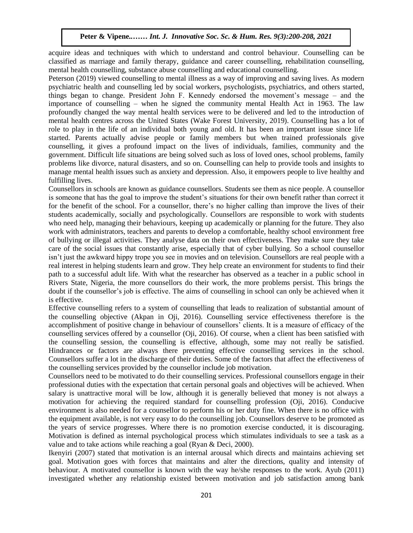acquire ideas and techniques with which to understand and control behaviour. Counselling can be classified as marriage and family therapy, guidance and career counselling, rehabilitation counselling,  $\alpha$  mental health counselling, substance abuse counselling and educational counselling.

Peterson (2019) viewed counselling to mental illness as a way of improving and saving lives. As modern psychiatric health and counselling led by social workers, psychologists, psychiatrics, and others started, things began to change. President John F. Kennedy endorsed the movement's message - and the importance of counselling – when he signed the community mental Health Act in 1963. The law profoundly changed the way mental health services were to be delivered and led to the introduction of mental health centres across the United States (Wake Forest University, 2019). Counselling has a lot of role to play in the life of an individual both young and old. It has been an important issue since life started. Parents actually advise people or family members but when trained professionals give counselling, it gives a profound impact on the lives of individuals, families, community and the government. Difficult life situations are being solved such as loss of loved ones, school problems, family problems like divorce, natural disasters, and so on. Counselling can help to provide tools and insights to manage mental health issues such as anxiety and depression. Also, it empowers people to live healthy and fulfilling lives.

Counsellors in schools are known as guidance counsellors. Students see them as nice people. A counsellor is someone that has the goal to improve the student's situations for their own benefit rather than correct it for the benefit of the school. For a counsellor, there's no higher calling than improve the lives of their students academically, socially and psychologically. Counsellors are responsible to work with students who need help, managing their behaviours, keeping up academically or planning for the future. They also work with administrators, teachers and parents to develop a comfortable, healthy school environment free of bullying or illegal activities. They analyse data on their own effectiveness. They make sure they take care of the social issues that constantly arise, especially that of cyber bullying. So a school counsellor isn't just the awkward hippy trope you see in movies and on television. Counsellors are real people with a real interest in helping students learn and grow. They help create an environment for students to find their path to a successful adult life. With what the researcher has observed as a teacher in a public school in Rivers State, Nigeria, the more counsellors do their work, the more problems persist. This brings the doubt if the counsellor's job is effective. The aims of counselling in school can only be achieved when it is effective.

Effective counselling refers to a system of counselling that leads to realization of substantial amount of the counselling objective (Akpan in Oji, 2016). Counselling service effectiveness therefore is the accomplishment of positive change in behaviour of counsellors' clients. It is a measure of efficacy of the counselling services offered by a counsellor (Oji, 2016). Of course, when a client has been satisfied with the counselling session, the counselling is effective, although, some may not really be satisfied. Hindrances or factors are always there preventing effective counselling services in the school. Counsellors suffer a lot in the discharge of their duties. Some of the factors that affect the effectiveness of the counselling services provided by the counsellor include job motivation.

Counsellors need to be motivated to do their counselling services. Professional counsellors engage in their professional duties with the expectation that certain personal goals and objectives will be achieved. When salary is unattractive moral will be low, although it is generally believed that money is not always a motivation for achieving the required standard for counselling profession (Oji, 2016). Conducive environment is also needed for a counsellor to perform his or her duty fine. When there is no office with the equipment available, is not very easy to do the counselling job. Counsellors deserve to be promoted as the years of service progresses. Where there is no promotion exercise conducted, it is discouraging. Motivation is defined as internal psychological process which stimulates individuals to see a task as a value and to take actions while reaching a goal (Ryan & Deci, 2000).

Ikenyiri (2007) stated that motivation is an internal arousal which directs and maintains achieving set goal. Motivation goes with forces that maintains and alter the directions, quality and intensity of behaviour. A motivated counsellor is known with the way he/she responses to the work. Ayub (2011) investigated whether any relationship existed between motivation and job satisfaction among bank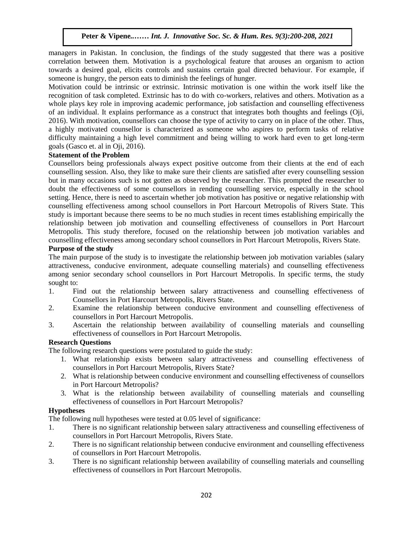managers in Pakistan. In conclusion, the findings of the study suggested that there was a positive correlation between them. Motivation is a psychological feature that arouses an organism to action towards a desired goal, elicits controls and sustains certain goal directed behaviour. For example, if someone is hungry, the person eats to diminish the feelings of hunger.

Motivation could be intrinsic or extrinsic. Intrinsic motivation is one within the work itself like the recognition of task completed. Extrinsic has to do with co-workers, relatives and others. Motivation as a whole plays key role in improving academic performance, job satisfaction and counselling effectiveness of an individual. It explains performance as a construct that integrates both thoughts and feelings (Oji, 2016). With motivation, counsellors can choose the type of activity to carry on in place of the other. Thus, a highly motivated counsellor is characterized as someone who aspires to perform tasks of relative difficulty maintaining a high level commitment and being willing to work hard even to get long-term goals (Gasco et. al in Oji, 2016).

# **Statement of the Problem**

Counsellors being professionals always expect positive outcome from their clients at the end of each counselling session. Also, they like to make sure their clients are satisfied after every counselling session but in many occasions such is not gotten as observed by the researcher. This prompted the researcher to doubt the effectiveness of some counsellors in rending counselling service, especially in the school setting. Hence, there is need to ascertain whether job motivation has positive or negative relationship with counselling effectiveness among school counsellors in Port Harcourt Metropolis of Rivers State. This study is important because there seems to be no much studies in recent times establishing empirically the relationship between job motivation and counselling effectiveness of counsellors in Port Harcourt Metropolis. This study therefore, focused on the relationship between job motivation variables and counselling effectiveness among secondary school counsellors in Port Harcourt Metropolis, Rivers State. Arugu  $\mathbf{F}$  is the Problem intervals of the Problem

# **Purpose of the study**

The main purpose of the study is to investigate the relationship between job motivation variables (salary attractiveness, conducive environment, adequate counselling materials) and counselling effectiveness among senior secondary school counsellors in Port Harcourt Metropolis. In specific terms, the study sought to:

- 1. Find out the relationship between salary attractiveness and counselling effectiveness of Counsellors in Port Harcourt Metropolis, Rivers State.
- 2. Examine the relationship between conducive environment and counselling effectiveness of counsellors in Port Harcourt Metropolis.
- 3. Ascertain the relationship between availability of counselling materials and counselling effectiveness of counsellors in Port Harcourt Metropolis.

# **Research Questions**

The following research questions were postulated to guide the study:

- 1. What relationship exists between salary attractiveness and counselling effectiveness of counsellors in Port Harcourt Metropolis, Rivers State?
- 2. What is relationship between conducive environment and counselling effectiveness of counsellors in Port Harcourt Metropolis?
- 3. What is the relationship between availability of counselling materials and counselling effectiveness of counsellors in Port Harcourt Metropolis?

# **Hypotheses**

The following null hypotheses were tested at 0.05 level of significance:

- 1. There is no significant relationship between salary attractiveness and counselling effectiveness of counsellors in Port Harcourt Metropolis, Rivers State.
- 2. There is no significant relationship between conducive environment and counselling effectiveness of counsellors in Port Harcourt Metropolis.
- 3. There is no significant relationship between availability of counselling materials and counselling effectiveness of counsellors in Port Harcourt Metropolis.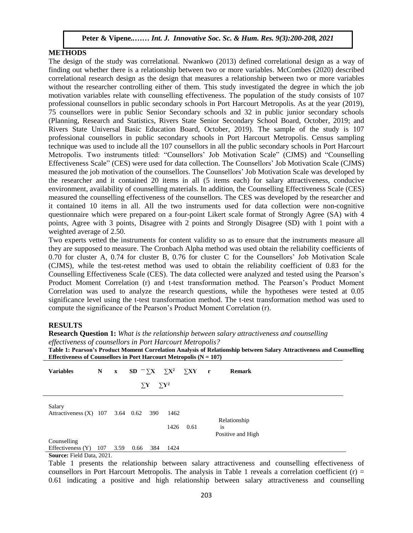# **METHODS**

The design of the study was correlational. Nwankwo (2013) defined correlational design as a way of finding out whether there is a relationship between two or more variables. McCombes (2020) described correlational research design as the design that measures a relationship between two or more variables without the researcher controlling either of them. This study investigated the degree in which the job motivation variables relate with counselling effectiveness. The population of the study consists of 107 motivation variables relate with counselling effectiveness. The population of the study consists of 107 professional counsellors in public secondary schools in Port Harcourt Metropolis. As at the year (2019), 75 counsellors were in public Senior Secondary schools and 32 in public junior secondary schools (Planning, Research and Statistics, Rivers State Senior Secondary School Board, October, 2019; and Rivers State Universal Basic Education Board, October, 2019). The sample of the study is 107 professional counsellors in public secondary schools in Port Harcourt Metropolis. Census sampling technique was used to include all the 107 counsellors in all the public secondary schools in Port Harcourt Metropolis. Two instruments titled: "Counsellors' Job Motivation Scale" (CJMS) and "Counselling Effectiveness Scale" (CES) were used for data collection. The Counsellors' Job Motivation Scale (CJMS) measured the job motivation of the counsellors. The Counsellors' Job Motivation Scale was developed by the researcher and it contained 20 items in all (5 items each) for salary attractiveness, conducive environment, availability of counselling materials. In addition, the Counselling Effectiveness Scale (CES) measured the counselling effectiveness of the counsellors. The CES was developed by the researcher and it contained 10 items in all. All the two instruments used for data collection were non-cognitive questionnaire which were prepared on a four-point Likert scale format of Strongly Agree (SA) with 4 points, Agree with 3 points, Disagree with 2 points and Strongly Disagree (SD) with 1 point with a weighted average of 2.50.

Two experts vetted the instruments for content validity so as to ensure that the instruments measure all they are supposed to measure. The Cronbach Alpha method was used obtain the reliability coefficients of 0.70 for cluster A, 0.74 for cluster B, 0.76 for cluster C for the Counsellors' Job Motivation Scale (CJMS), while the test-retest method was used to obtain the reliability coefficient of 0.83 for the Counselling Effectiveness Scale (CES). The data collected were analyzed and tested using the Pearson's Product Moment Correlation (r) and t-test transformation method. The Pearson's Product Moment Correlation was used to analyze the research questions, while the hypotheses were tested at 0.05 significance level using the t-test transformation method. The t-test transformation method was used to compute the significance of the Pearson's Product Moment Correlation (r).

#### **RESULTS**

**Research Question 1:** *What is the relationship between salary attractiveness and counselling effectiveness of counsellors in Port Harcourt Metropolis?* **Table 1: Pearson's Product Moment Correlation Analysis of Relationship between Salary Attractiveness and Counselling Effectiveness of Counsellors in Port Harcourt Metropolis (N = 107) Variables N x SD**  $\overline{\phantom{1}}$   $\overline{\phantom{1}}$   $\overline{\phantom{1}}$  **X**  $\overline{\phantom{1}}$   $\overline{\phantom{1}}$   $\overline{\phantom{1}}$   $\overline{\phantom{1}}$   $\overline{\phantom{1}}$   $\overline{\phantom{1}}$   $\overline{\phantom{1}}$   $\overline{\phantom{1}}$   $\overline{\phantom{1}}$   $\overline{\phantom{1}}$   $\overline{\phantom{1}}$   $\overline{\phantom{1}}$   $\overline{\phantom{1}}$   **∑XY r Remark** 

|                                              |                                  |      | $\Sigma$ <b>Y</b> | $\sum$ Y <sup>2</sup> |              |      |                                                |  |  |
|----------------------------------------------|----------------------------------|------|-------------------|-----------------------|--------------|------|------------------------------------------------|--|--|
| Salary<br>Attractiveness (X) $107$ 3.64 0.62 |                                  |      |                   | 390                   | 1462<br>1426 | 0.61 | Relationship<br><b>1S</b><br>Positive and High |  |  |
| Counselling                                  |                                  |      |                   |                       |              |      |                                                |  |  |
| Effectiveness (Y)                            | 107                              | 3.59 | 0.66              | 384                   | 1424         |      |                                                |  |  |
|                                              | <b>Source:</b> Field Data, 2021. |      |                   |                       |              |      |                                                |  |  |

Table 1 presents the relationship between salary attractiveness and counselling effectiveness of counsellors in Port Harcourt Metropolis. The analysis in Table 1 reveals a correlation coefficient (r)  $=$ 0.61 indicating a positive and high relationship between salary attractiveness and counselling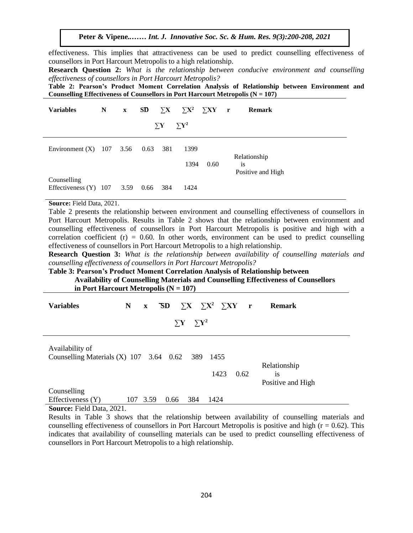effectiveness. This implies that attractiveness can be used to predict counselling effectiveness of counsellors in Port Harcourt Metropolis to a high relationship.

**Research Question 2:** What is the relationship between conducive environment and counselling *effectiveness of counsellors in Port Harcourt Metropolis?*

**Table 2: Pearson's Product Moment Correlation Analysis of Relationship between Environment and Counselling Effectiveness of Counsellors in Port Harcourt Metropolis (N = 107)** 

| <b>Variables</b>                            | N | $\mathbf{X}$ | SD   |                   | $\sum X$ $\sum X^2$ $\sum XY$ r |      | <b>Remark</b>                       |
|---------------------------------------------|---|--------------|------|-------------------|---------------------------------|------|-------------------------------------|
|                                             |   |              |      | $\Sigma$ <b>Y</b> | $\sum$ Y <sup>2</sup>           |      |                                     |
| Environment $(X)$ 107 3.56                  |   |              | 0.63 | 381               | 1399                            |      | Relationship                        |
|                                             |   |              |      |                   | 1394                            | 0.60 | <sup>1</sup> S<br>Positive and High |
| Counselling<br>Effectiveness $(Y)$ 107 3.59 |   |              | 0.66 | 384               | 1424                            |      |                                     |

#### **Source:** Field Data, 2021.

Table 2 presents the relationship between environment and counselling effectiveness of counsellors in Port Harcourt Metropolis. Results in Table 2 shows that the relationship between environment and counselling effectiveness of counsellors in Port Harcourt Metropolis is positive and high with a correlation coefficient  $(r) = 0.60$ . In other words, environment can be used to predict counselling effectiveness of counsellors in Port Harcourt Metropolis to a high relationship.

**Research Question 3:** *What is the relationship between availability of counselling materials and counselling effectiveness of counsellors in Port Harcourt Metropolis?*

# **Table 3: Pearson's Product Moment Correlation Analysis of Relationship between**

# **Availability of Counselling Materials and Counselling Effectiveness of Counsellors**  in Port Harcourt Metropolis  $(N = 107)$ **Variables N x SD ∑X ∑X<sup>2</sup>**  $\nabla$ **V2**  $\nabla$ **VV**

| <b>variables</b>                                                             |     | $\mathbf{x}$ |      |                     | $\mathbf{S} \mathbf{D}$ $\lambda \lambda \lambda^2 \lambda^2$ |      | кешагк            |
|------------------------------------------------------------------------------|-----|--------------|------|---------------------|---------------------------------------------------------------|------|-------------------|
|                                                                              |     |              |      |                     |                                                               |      |                   |
|                                                                              |     |              |      | $\sum Y$ $\sum Y^2$ |                                                               |      |                   |
|                                                                              |     |              |      |                     |                                                               |      |                   |
| Availability of                                                              |     |              |      |                     |                                                               |      |                   |
| Counselling Materials (X) 107 3.64 0.62 389 1455                             |     |              |      |                     |                                                               |      |                   |
|                                                                              |     |              |      |                     |                                                               |      | Relationship      |
|                                                                              |     |              |      |                     | 1423                                                          | 0.62 | <b>1S</b>         |
|                                                                              |     |              |      |                     |                                                               |      | Positive and High |
| Counselling                                                                  |     |              |      |                     |                                                               |      |                   |
| Effectiveness (Y)                                                            | 107 | 3.59         | 0.66 | 384                 | 1424                                                          |      |                   |
| $\sim$ $\sim$<br>$\mathbf{m}$ is $\mathbf{n}$<br>$\sim$ $\sim$ $\sim$ $\sim$ |     |              |      |                     |                                                               |      |                   |

**Source:** Field Data, 2021.

Results in Table 3 shows that the relationship between availability of counselling materials and counselling effectiveness of counsellors in Port Harcourt Metropolis is positive and high ( $r = 0.62$ ). This indicates that availability of counselling materials can be used to predict counselling effectiveness of counsellors in Port Harcourt Metropolis to a high relationship.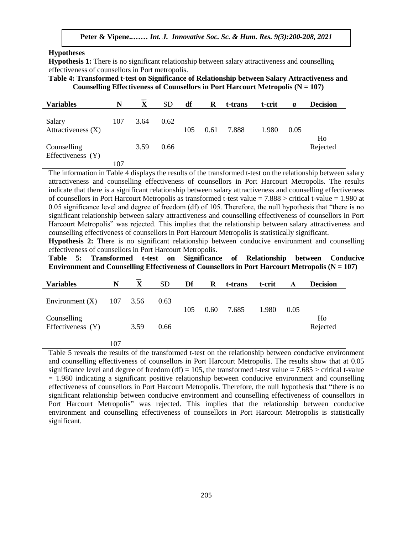#### **Hypotheses**

107

**Hypothesis 1:** There is no significant relationship between salary attractiveness and counselling effectiveness of counsellors in Port metropolis.

**Table 4: Transformed t-test on Significance of Relationship between Salary Attractiveness and Counselling Effectiveness of Counsellors in Port Harcourt Metropolis (N = 107) Variables N**   $\overline{\mathbf{X}}$  SD df  **R t-trans t-crit α Decision** Salary Attractiveness (X) 105 0.61 7.888 1.980 Counselling  $E$ ffectiveness  $(Y)$ 107 3.64 3.59 0.62 0.66 105 0.61 7.888 1.980 0.05 Ho Rejected Arugu & Wosu …… Int. J. Innovative Soc. Sc. & Hum. Res. 8(1):1-11, 2020

The information in Table 4 displays the results of the transformed t-test on the relationship between salary attractiveness and counselling effectiveness of counsellors in Port Harcourt Metropolis. The results indicate that there is a significant relationship between salary attractiveness and counselling effectiveness of counsellors in Port Harcourt Metropolis as transformed t-test value = 7.888 > critical t-value = 1.980 at 0.05 significance level and degree of freedom (df) of 105. Therefore, the null hypothesis that "there is no significant relationship between salary attractiveness and counselling effectiveness of counsellors in Port Harcourt Metropolis" was rejected. This implies that the relationship between salary attractiveness and counselling effectiveness of counsellors in Port Harcourt Metropolis is statistically significant.

**Hypothesis 2:** There is no significant relationship between conducive environment and counselling effectiveness of counsellors in Port Harcourt Metropolis.

**Table 5: Transformed t-test on Significance of Relationship between Conducive Environment and Counselling Effectiveness of Counsellors in Port Harcourt Metropolis (N = 107)**

| <b>Variables</b>                 | N        | X    | <b>SD</b> | Df  | R    | t-trans | t-crit | A    | <b>Decision</b> |
|----------------------------------|----------|------|-----------|-----|------|---------|--------|------|-----------------|
| Environment $(X)$                | 107 3.56 |      | 0.63      | 105 | 0.60 | 7.685   | 1.980  | 0.05 |                 |
| Counselling<br>Effectiveness (Y) |          | 3.59 | 0.66      |     |      |         |        |      | Ho<br>Rejected  |
|                                  | 107      |      |           |     |      |         |        |      |                 |

Table 5 reveals the results of the transformed t-test on the relationship between conducive environment and counselling effectiveness of counsellors in Port Harcourt Metropolis. The results show that at 0.05 significance level and degree of freedom (df) = 105, the transformed t-test value =  $7.685$  > critical t-value = 1.980 indicating a significant positive relationship between conducive environment and counselling effectiveness of counsellors in Port Harcourt Metropolis. Therefore, the null hypothesis that "there is no significant relationship between conducive environment and counselling effectiveness of counsellors in Port Harcourt Metropolis" was rejected. This implies that the relationship between conducive environment and counselling effectiveness of counsellors in Port Harcourt Metropolis is statistically significant.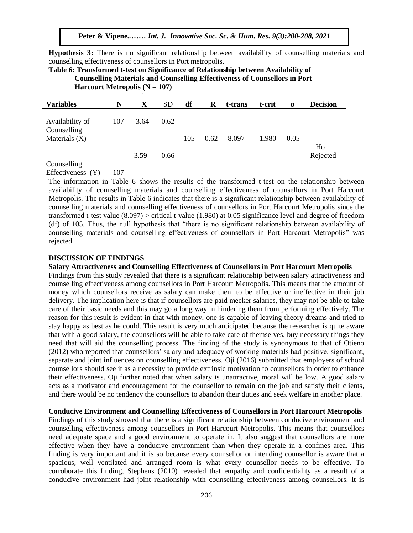**Hypothesis 3:** There is no significant relationship between availability of counselling materials and counselling effectiveness of counsellors in Port metropolis.<br>Toble 6: Transformed t test on Significance of Polationship between Avoils

| Table 6: Transformed t-test on Significance of Relationship between Availability of |  |
|-------------------------------------------------------------------------------------|--|
| <b>Counselling Materials and Counselling Effectiveness of Counsellors in Port</b>   |  |
| <b>Harcourt Metropolis (N = 107)</b>                                                |  |

| <b>Variables</b>               | N   | X    | <b>SD</b> | df  | R    | t-trans | t-crit | $\alpha$ | <b>Decision</b> |
|--------------------------------|-----|------|-----------|-----|------|---------|--------|----------|-----------------|
| Availability of<br>Counselling | 107 | 3.64 | 0.62      |     |      |         |        |          |                 |
| Materials $(X)$                |     |      |           | 105 | 0.62 | 8.097   | 1.980  | 0.05     |                 |
|                                |     |      |           |     |      |         |        |          | Ho              |
|                                |     | 3.59 | 0.66      |     |      |         |        |          | Rejected        |
| Counselling                    |     |      |           |     |      |         |        |          |                 |
| Effectiveness (Y)              | 107 |      |           |     |      |         |        |          |                 |

The information in Table 6 shows the results of the transformed t-test on the relationship between availability of counselling materials and counselling effectiveness of counsellors in Port Harcourt Metropolis. The results in Table 6 indicates that there is a significant relationship between availability of counselling materials and counselling effectiveness of counsellors in Port Harcourt Metropolis since the transformed t-test value  $(8.097)$  > critical t-value  $(1.980)$  at 0.05 significance level and degree of freedom (df) of 105. Thus, the null hypothesis that "there is no significant relationship between availability of counselling materials and counselling effectiveness of counsellors in Port Harcourt Metropolis" was rejected.

### **DISCUSSION OF FINDINGS**

#### **Salary Attractiveness and Counselling Effectiveness of Counsellors in Port Harcourt Metropolis**

Findings from this study revealed that there is a significant relationship between salary attractiveness and counselling effectiveness among counsellors in Port Harcourt Metropolis. This means that the amount of money which counsellors receive as salary can make them to be effective or ineffective in their job delivery. The implication here is that if counsellors are paid meeker salaries, they may not be able to take care of their basic needs and this may go a long way in hindering them from performing effectively. The reason for this result is evident in that with money, one is capable of leaving theory dreams and tried to stay happy as best as he could. This result is very much anticipated because the researcher is quite aware that with a good salary, the counsellors will be able to take care of themselves, buy necessary things they need that will aid the counselling process. The finding of the study is synonymous to that of Otieno (2012) who reported that counsellors' salary and adequacy of working materials had positive, significant, separate and joint influences on counselling effectiveness. Oji (2016) submitted that employers of school counsellors should see it as a necessity to provide extrinsic motivation to counsellors in order to enhance their effectiveness. Oji further noted that when salary is unattractive, moral will be low. A good salary acts as a motivator and encouragement for the counsellor to remain on the job and satisfy their clients, and there would be no tendency the counsellors to abandon their duties and seek welfare in another place.

## **Conducive Environment and Counselling Effectiveness of Counsellors in Port Harcourt Metropolis**

Findings of this study showed that there is a significant relationship between conducive environment and counselling effectiveness among counsellors in Port Harcourt Metropolis. This means that counsellors need adequate space and a good environment to operate in. It also suggest that counsellors are more effective when they have a conducive environment than when they operate in a confines area. This finding is very important and it is so because every counsellor or intending counsellor is aware that a spacious, well ventilated and arranged room is what every counsellor needs to be effective. To corroborate this finding, Stephens (2010) revealed that empathy and confidentiality as a result of a conducive environment had joint relationship with counselling effectiveness among counsellors. It is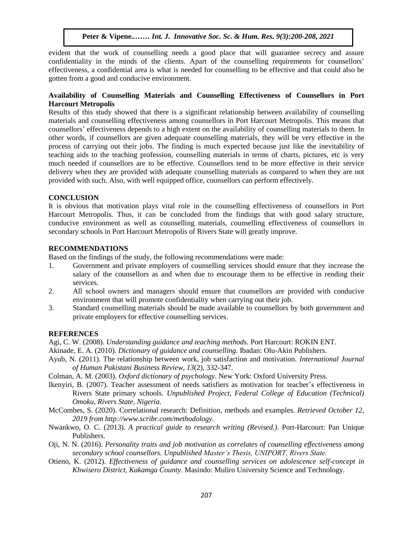evident that the work of counselling needs a good place that will guarantee secrecy and assure confidentiality in the minds of the clients. Apart of the counselling requirements for counsellors' effectiveness, a confidential area is what is needed for counselling to be effective and that could also be gotten from a good and conducive environment.

# Availability of Counselling Materials and Counselling Effectiveness of Counsellors in Port **Harcourt Metropolis**

Results of this study showed that there is a significant relationship between availability of counselling materials and counselling effectiveness among counsellors in Port Harcourt Metropolis. This means that counsellors' effectiveness depends to a high extent on the availability of counselling materials to them. In other words, if counsellors are given adequate counselling materials, they will be very effective in the process of carrying out their jobs. The finding is much expected because just like the inevitability of teaching aids to the teaching profession, counselling materials in terms of charts, pictures, etc is very much needed if counsellors are to be effective. Counsellors tend to be more effective in their service delivery when they are provided with adequate counselling materials as compared to when they are not provided with such. Also, with well equipped office, counsellors can perform effectively.  $\mathcal{L}$  Wosu  $\mathcal{L}$  in the Soc. Sc.  $\mathcal{L}$ 

# **CONCLUSION**

It is obvious that motivation plays vital role in the counselling effectiveness of counsellors in Port Harcourt Metropolis. Thus, it can be concluded from the findings that with good salary structure, conducive environment as well as counselling materials, counselling effectiveness of counsellors in secondary schools in Port Harcourt Metropolis of Rivers State will greatly improve.

# **RECOMMENDATIONS**

Based on the findings of the study, the following recommendations were made:

- 1. Government and private employers of counselling services should ensure that they increase the salary of the counsellors as and when due to encourage them to be effective in rending their services.
- 2. All school owners and managers should ensure that counsellors are provided with conducive environment that will promote confidentiality when carrying out their job.
- 3. Standard counselling materials should be made available to counsellors by both government and private employers for effective counselling services.

# **REFERENCES**

Agi, C. W. (2008). *Understanding guidance and teaching methods.* Port Harcourt: ROKIN ENT.

Akinade, E. A. (2010). *Dictionary of guidance and counselling.* Ibadan: Olu-Akin Publishers.

- Ayub, N. (2011). The relationship between work, job satisfaction and motivation. *International Journal of Human Pakistani Business Review*, *13*(2), 332-347.
- Colman, A. M. (2003). *Oxford dictionary of psychology*. New York: Oxford University Press.
- Ikenyiri, B. (2007). Teacher assessment of needs satisfiers as motivation for teacher's effectiveness in Rivers State primary schools. *Unpublished Project, Federal College of Education (Technical) Omoku, Rivers State, Nigeria.*
- McCombes, S. (2020). Correlational research: Definition, methods and examples. *Retrieved October 12, 2019 from http://www.scribr.com/methodology.*
- Nwankwo, O. C. (2013). *A practical guide to research writing (Revised.)*. Port-Harcourt: Pan Unique Publishers.
- Oji, N. N. (2016). *Personality traits and job motivation as correlates of counselling effectiveness among secondary school counsellors. Unpublished Master's Thesis, UNIPORT, Rivers State.*
- Otieno, K. (2012). *Effectiveness of guidance and counselling services on adolescence self-concept in Khwisero District, Kakamga County*. Masindo: Muliro University Science and Technology.